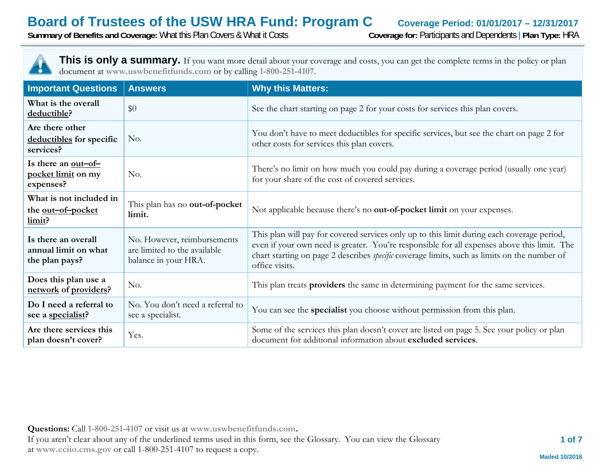**Summary of Benefits and Coverage:** What this Plan Covers & What it Costs **Coverage for:** Participants and Dependents | **Plan Type:** HRA



| <b>Important Questions</b>                                    | <b>Answers</b>                                                                      | <b>Why this Matters:</b>                                                                                                                                                                                                                                                                                           |
|---------------------------------------------------------------|-------------------------------------------------------------------------------------|--------------------------------------------------------------------------------------------------------------------------------------------------------------------------------------------------------------------------------------------------------------------------------------------------------------------|
| What is the overall<br>deductible?                            | \$0                                                                                 | See the chart starting on page 2 for your costs for services this plan covers.                                                                                                                                                                                                                                     |
| Are there other<br>deductibles for specific<br>services?      | No.                                                                                 | You don't have to meet deductibles for specific services, but see the chart on page 2 for<br>other costs for services this plan covers.                                                                                                                                                                            |
| Is there an <u>out-of-</u><br>pocket limit on my<br>expenses? | No.                                                                                 | There's no limit on how much you could pay during a coverage period (usually one year)<br>for your share of the cost of covered services.                                                                                                                                                                          |
| What is not included in<br>the <u>out-of-pocket</u><br>limit? | This plan has no out-of-pocket<br>limit.                                            | Not applicable because there's no out-of-pocket limit on your expenses.                                                                                                                                                                                                                                            |
| Is there an overall<br>annual limit on what<br>the plan pays? | No. However, reimbursements<br>are limited to the available<br>balance in your HRA. | This plan will pay for covered services only up to this limit during each coverage period,<br>even if your own need is greater. You're responsible for all expenses above this limit. The<br>chart starting on page 2 describes <i>specific</i> coverage limits, such as limits on the number of<br>office visits. |
| Does this plan use a<br>network of providers?                 | No.                                                                                 | This plan treats providers the same in determining payment for the same services.                                                                                                                                                                                                                                  |
| Do I need a referral to<br>see a specialist?                  | No. You don't need a referral to<br>see a specialist.                               | You can see the specialist you choose without permission from this plan.                                                                                                                                                                                                                                           |
| Are there services this<br>plan doesn't cover?                | Yes.                                                                                | Some of the services this plan doesn't cover are listed on page 5. See your policy or plan<br>document for additional information about excluded services.                                                                                                                                                         |

**Questions:** Call **1-800-251-4107** or visit us at **www.uswbenefitfunds.com.**  If you aren't clear about any of the underlined terms used in this form, see the Glossary. You can view the Glossary at **www.cciio.cms.gov** or call 1-800-251-4107 to request a copy.

 **1 of 7**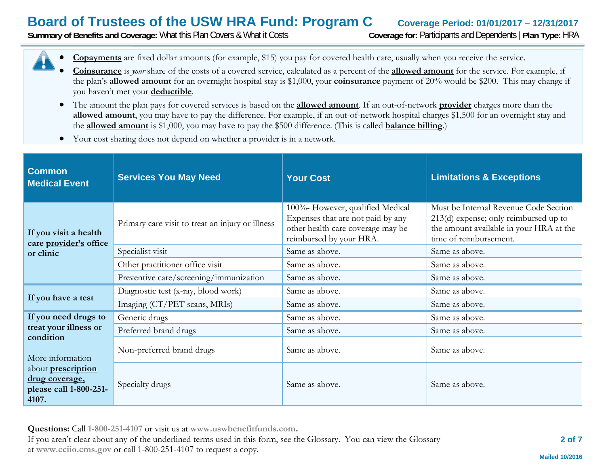**Summary of Benefits and Coverage:** What this Plan Covers & What it Costs **Coverage for:** Participants and Dependents | **Plan Type:** HRA



- 0 **Coinsurance** is *your* share of the costs of a covered service, calculated as a percent of the **allowed amount** for the service. For example, if the plan's **allowed amount** for an overnight hospital stay is \$1,000, your **coinsurance** payment of 20% would be \$200. This may change if you haven't met your **deductible**.
- The amount the plan pays for covered services is based on the **allowed amount**. If an out-of-network **provider** charges more than the **allowed amount**, you may have to pay the difference. For example, if an out-of-network hospital charges \$1,500 for an overnight stay and the **allowed amount** is \$1,000, you may have to pay the \$500 difference. (This is called **balance billing**.)
- $\bullet$ Your cost sharing does not depend on whether a provider is in a network.

| <b>Common</b><br><b>Medical Event</b>                                          | <b>Services You May Need</b>                     | <b>Your Cost</b>                                                                                                                      | <b>Limitations &amp; Exceptions</b>                                                                                                                   |
|--------------------------------------------------------------------------------|--------------------------------------------------|---------------------------------------------------------------------------------------------------------------------------------------|-------------------------------------------------------------------------------------------------------------------------------------------------------|
| If you visit a health<br>care provider's office                                | Primary care visit to treat an injury or illness | 100%- However, qualified Medical<br>Expenses that are not paid by any<br>other health care coverage may be<br>reimbursed by your HRA. | Must be Internal Revenue Code Section<br>$213(d)$ expense; only reimbursed up to<br>the amount available in your HRA at the<br>time of reimbursement. |
| or clinic                                                                      | Specialist visit                                 | Same as above.                                                                                                                        | Same as above.                                                                                                                                        |
|                                                                                | Other practitioner office visit                  | Same as above.                                                                                                                        | Same as above.                                                                                                                                        |
|                                                                                | Preventive care/screening/immunization           | Same as above.                                                                                                                        | Same as above.                                                                                                                                        |
| If you have a test                                                             | Diagnostic test (x-ray, blood work)              | Same as above.                                                                                                                        | Same as above.                                                                                                                                        |
|                                                                                | Imaging (CT/PET scans, MRIs)                     | Same as above.                                                                                                                        | Same as above.                                                                                                                                        |
| If you need drugs to                                                           | Generic drugs                                    | Same as above.                                                                                                                        | Same as above.                                                                                                                                        |
| treat your illness or                                                          | Preferred brand drugs                            | Same as above.                                                                                                                        | Same as above.                                                                                                                                        |
| condition<br>More information                                                  | Non-preferred brand drugs                        | Same as above.                                                                                                                        | Same as above.                                                                                                                                        |
| about <b>prescription</b><br>drug coverage,<br>please call 1-800-251-<br>4107. | Specialty drugs                                  | Same as above.                                                                                                                        | Same as above.                                                                                                                                        |

**Questions:** Call **1-800-251-4107** or visit us at **www.uswbenefitfunds.com.**  If you aren't clear about any of the underlined terms used in this form, see the Glossary. You can view the Glossary at **www.cciio.cms.gov** or call 1-800-251-4107 to request a copy.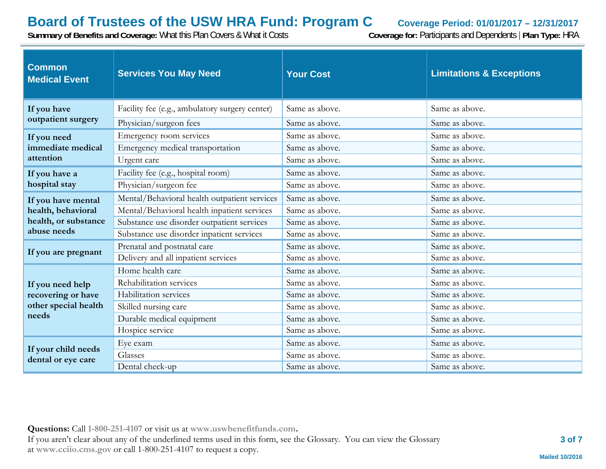**Summary of Benefits and Coverage:** What this Plan Covers & What it Costs **Coverage for:** Participants and Dependents | **Plan Type:** HRA

| <b>Common</b><br><b>Medical Event</b>                                   | <b>Services You May Need</b>                   | <b>Your Cost</b> | <b>Limitations &amp; Exceptions</b> |
|-------------------------------------------------------------------------|------------------------------------------------|------------------|-------------------------------------|
| If you have                                                             | Facility fee (e.g., ambulatory surgery center) | Same as above.   | Same as above.                      |
| outpatient surgery                                                      | Physician/surgeon fees                         | Same as above.   | Same as above.                      |
| If you need                                                             | Emergency room services                        | Same as above.   | Same as above.                      |
| immediate medical                                                       | Emergency medical transportation               | Same as above.   | Same as above.                      |
| attention                                                               | Urgent care                                    | Same as above.   | Same as above.                      |
| If you have a                                                           | Facility fee (e.g., hospital room)             | Same as above.   | Same as above.                      |
| hospital stay                                                           | Physician/surgeon fee                          | Same as above.   | Same as above.                      |
| If you have mental                                                      | Mental/Behavioral health outpatient services   | Same as above.   | Same as above.                      |
| health, behavioral                                                      | Mental/Behavioral health inpatient services    | Same as above.   | Same as above.                      |
| health, or substance<br>abuse needs                                     | Substance use disorder outpatient services     | Same as above.   | Same as above.                      |
|                                                                         | Substance use disorder inpatient services      | Same as above.   | Same as above.                      |
| If you are pregnant                                                     | Prenatal and postnatal care                    | Same as above.   | Same as above.                      |
|                                                                         | Delivery and all inpatient services            | Same as above.   | Same as above.                      |
|                                                                         | Home health care                               | Same as above.   | Same as above.                      |
| If you need help<br>recovering or have<br>other special health<br>needs | Rehabilitation services                        | Same as above.   | Same as above.                      |
|                                                                         | Habilitation services                          | Same as above.   | Same as above.                      |
|                                                                         | Skilled nursing care                           | Same as above.   | Same as above.                      |
|                                                                         | Durable medical equipment                      | Same as above.   | Same as above.                      |
|                                                                         | Hospice service                                | Same as above.   | Same as above.                      |
| If your child needs<br>dental or eye care                               | Eye exam                                       | Same as above.   | Same as above.                      |
|                                                                         | Glasses                                        | Same as above.   | Same as above.                      |
|                                                                         | Dental check-up                                | Same as above.   | Same as above.                      |

**Questions:** Call **1-800-251-4107** or visit us at **www.uswbenefitfunds.com.**  If you aren't clear about any of the underlined terms used in this form, see the Glossary. You can view the Glossary at **www.cciio.cms.gov** or call 1-800-251-4107 to request a copy.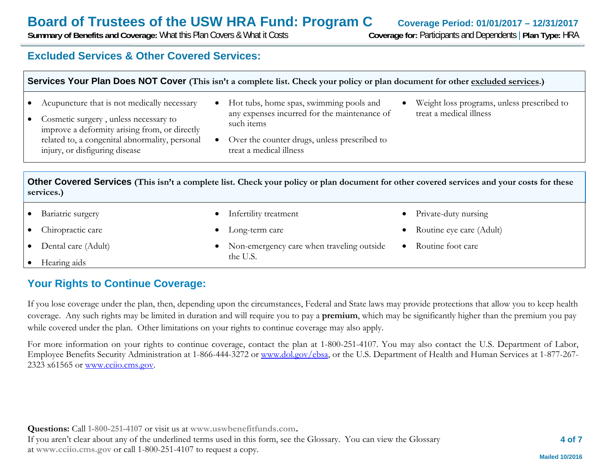0

0

0

0

**Summary of Benefits and Coverage:** What this Plan Covers & What it Costs **Coverage for:** Participants and Dependents | **Plan Type:** HRA

### **Excluded Services & Other Covered Services:**

| Services Your Plan Does NOT Cover (This isn't a complete list. Check your policy or plan document for other excluded services.) |  |
|---------------------------------------------------------------------------------------------------------------------------------|--|
|                                                                                                                                 |  |

- $\bullet$ Acupuncture that is not medically necessary
- $\bullet$  Cosmetic surgery , unless necessary to improve a deformity arising from, or directly related to, a congenital abnormality, personal injury, or disfiguring disease
- Hot tubs, home spas, swimming pools and any expenses incurred for the maintenance of such items
- 0 Over the counter drugs, unless prescribed to treat a medical illness
- 0 Weight loss programs, unless prescribed to treat a medical illness

0

0

0

Private-duty nursing

Routine foot care

Routine eye care (Adult)

**Other Covered Services (This isn't a complete list. Check your policy or plan document for other covered services and your costs for these services.)**

Infertility treatment

Long-term care

the U.S.

- $\bullet$ Bariatric surgery
- $\bullet$ Chiropractic care
- $\bullet$ Dental care (Adult)
- . Hearing aids

# **Your Rights to Continue Coverage:**

If you lose coverage under the plan, then, depending upon the circumstances, Federal and State laws may provide protections that allow you to keep health coverage. Any such rights may be limited in duration and will require you to pay a **premium**, which may be significantly higher than the premium you pay while covered under the plan. Other limitations on your rights to continue coverage may also apply.

Non-emergency care when traveling outside

For more information on your rights to continue coverage, contact the plan at 1-800-251-4107. You may also contact the U.S. Department of Labor, Employee Benefits Security Administration at 1-866-444-3272 or www.dol.gov/ebsa, or the U.S. Department of Health and Human Services at 1-877-267- 2323 x61565 or www.cciio.cms.gov.

**Questions:** Call **1-800-251-4107** or visit us at **www.uswbenefitfunds.com.**  If you aren't clear about any of the underlined terms used in this form, see the Glossary. You can view the Glossary at **www.cciio.cms.gov** or call 1-800-251-4107 to request a copy.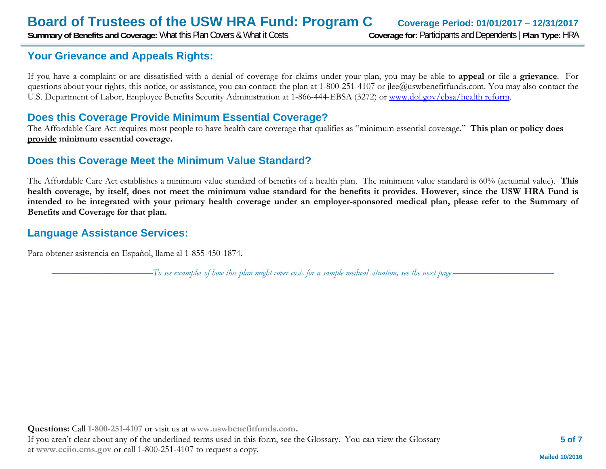**Summary of Benefits and Coverage:** What this Plan Covers & What it Costs **Coverage for:** Participants and Dependents | **Plan Type:** HRA

# **Your Grievance and Appeals Rights:**

If you have a complaint or are dissatisfied with a denial of coverage for claims under your plan, you may be able to **appeal** or file a **grievance**. For questions about your rights, this notice, or assistance, you can contact: the plan at 1-800-251-4107 or <u>ilee@uswbenefitfunds.com</u>. You may also contact the U.S. Department of Labor, Employee Benefits Security Administration at 1-866-444-EBSA (3272) or www.dol.gov/ebsa/health reform.

### **Does this Coverage Provide Minimum Essential Coverage?**

The Affordable Care Act requires most people to have health care coverage that qualifies as "minimum essential coverage." **This plan or policy does provide minimum essential coverage.** 

### **Does this Coverage Meet the Minimum Value Standard?**

The Affordable Care Act establishes a minimum value standard of benefits of a health plan. The minimum value standard is 60% (actuarial value). **This health coverage, by itself, does not meet the minimum value standard for the benefits it provides. However, since the USW HRA Fund is intended to be integrated with your primary health coverage under an employer-sponsored medical plan, please refer to the Summary of Benefits and Coverage for that plan.** 

### **Language Assistance Services:**

Para obtener asistencia en Español, llame al 1-855-450-1874.

––––––––––––––––––––––*To see examples of how this plan might cover costs for a sample medical situation, see the next page.–––––––––––*–––––––––––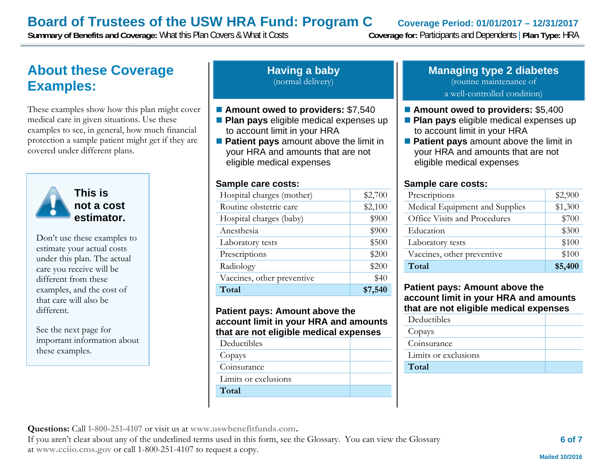**Summary of Benefits and Coverage:** What this Plan Covers & What it Costs **Coverage for:** Participants and Dependents | **Plan Type:** HRA

# **About these Coverage Examples:**

These examples show how this plan might cover medical care in given situations. Use these examples to see, in general, how much financial protection a sample patient might get if they are covered under different plans.



**This is not a cost estimator.** 

Don't use these examples to estimate your actual costs under this plan. The actual care you receive will be different from these examples, and the cost of that care will also be different.

See the next page for important information about these examples.

#### **Having a baby** (normal delivery)

### ■ Amount owed to providers: \$7,540

- **Plan pays** eligible medical expenses up to account limit in your HRA
- **Patient pays** amount above the limit in your HRA and amounts that are not eligible medical expenses

#### **Sample care costs:**

| Hospital charges (mother)  | \$2,700 |
|----------------------------|---------|
| Routine obstetric care     | \$2,100 |
| Hospital charges (baby)    | \$900   |
| Anesthesia                 | \$900   |
| Laboratory tests           | \$500   |
| Prescriptions              | \$200   |
| Radiology                  | \$200   |
| Vaccines, other preventive | \$40    |
| Total                      | \$7,540 |

#### **Patient pays: Amount above the account limit in your HRA and amounts that are not eligible medical expenses**

| Deductibles |  |
|-------------|--|
|             |  |

Copays

Coinsurance

Limits or exclusions

**Total** 

#### **Managing type 2 diabetes** (routine maintenance of a well-controlled condition)

#### ■ Amount owed to providers: \$5,400

- **Plan pays** eligible medical expenses up to account limit in your HRA
- **Patient pays** amount above the limit in your HRA and amounts that are not eligible medical expenses

#### **Sample care costs:**

| Prescriptions                  | \$2,900 |
|--------------------------------|---------|
| Medical Equipment and Supplies | \$1,300 |
| Office Visits and Procedures   | \$700   |
| Education                      | \$300   |
| Laboratory tests               | \$100   |
| Vaccines, other preventive     | \$100   |
| Total                          | \$5,400 |

#### **Patient pays: Amount above the account limit in your HRA and amounts that are not eligible medical expenses**

| Deductibles          |  |
|----------------------|--|
| Copays               |  |
| Coinsurance          |  |
| Limits or exclusions |  |
| Total                |  |
|                      |  |

**Questions:** Call **1-800-251-4107** or visit us at **www.uswbenefitfunds.com.** 

If you aren't clear about any of the underlined terms used in this form, see the Glossary. You can view the Glossary at **www.cciio.cms.gov** or call 1-800-251-4107 to request a copy.